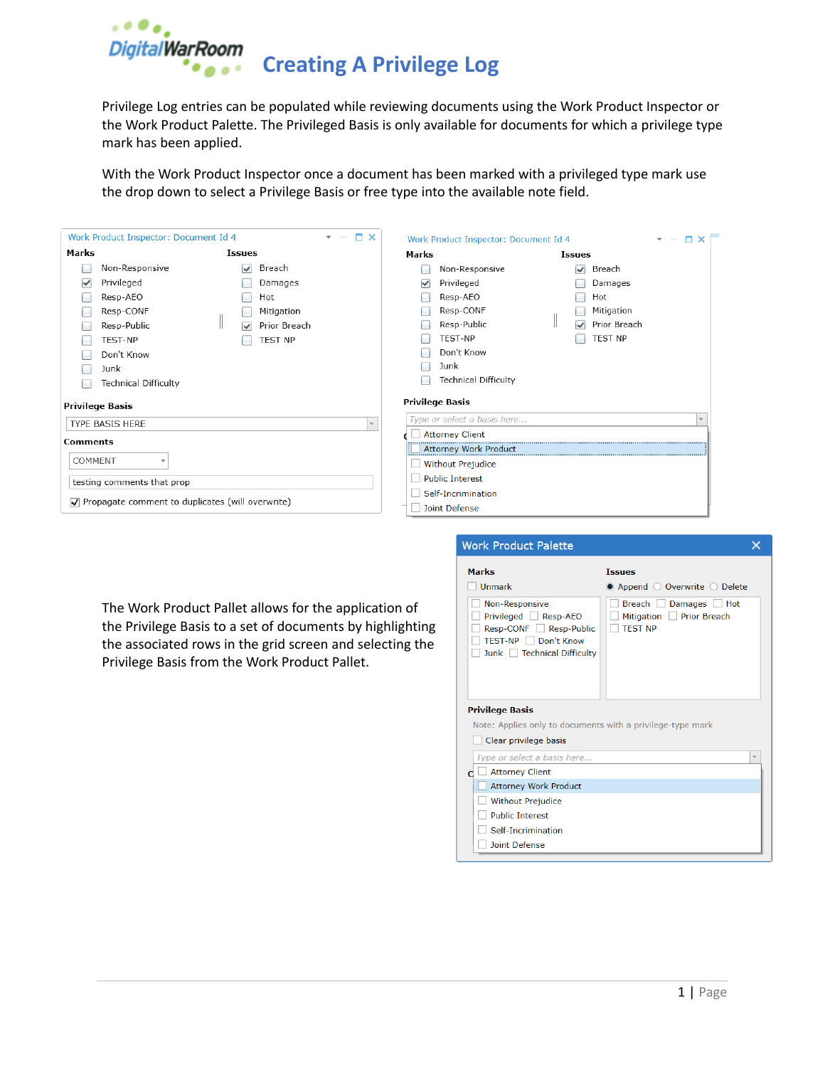

Privilege Log entries can be populated while reviewing documents using the Work Product Inspector or the Work Product Palette. The Privileged Basis is only available for documents for which a privilege type mark has been applied.

With the Work Product Inspector once a document has been marked with a privileged type mark use the drop down to select a Privilege Basis or free type into the available note field.

| $   \times$<br>Work Product Inspector: Document Id 4 |                                                                       |              | Work Product Inspector: Document Id 4 | $\square$ $\times$<br>$-$   |                               |              |
|------------------------------------------------------|-----------------------------------------------------------------------|--------------|---------------------------------------|-----------------------------|-------------------------------|--------------|
| Marks                                                | <b>Issues</b>                                                         |              | Marks                                 |                             | <b>Issues</b>                 |              |
|                                                      | Non-Responsive<br>$\vee$                                              | Breach       |                                       | Non-Responsive              | $\overline{\mathcal{L}}$      | Breach       |
| Privileged<br>$\checkmark$                           |                                                                       | Damages      | ✓                                     | Privileged                  |                               | Damages      |
| Resp-AEO                                             |                                                                       | Hot          |                                       | Resp-AEO                    |                               | Hot          |
| Resp-CONF                                            |                                                                       | Mitigation   |                                       | Resp-CONF                   |                               | Mitigation   |
| Resp-Public                                          | $\checkmark$                                                          | Prior Breach |                                       | Resp-Public                 | I<br>$\overline{\mathcal{L}}$ | Prior Breach |
| TEST-NP                                              |                                                                       | TEST NP      |                                       | <b>TEST-NP</b>              |                               | TEST NP      |
| Don't Know                                           |                                                                       |              |                                       | Don't Know                  |                               |              |
| Junk                                                 |                                                                       |              |                                       | Junk                        |                               |              |
|                                                      | <b>Technical Difficulty</b>                                           |              |                                       | <b>Technical Difficulty</b> |                               |              |
| <b>Privilege Basis</b>                               |                                                                       |              |                                       | <b>Privilege Basis</b>      |                               |              |
| TYPE BASIS HERE                                      |                                                                       | $\checkmark$ |                                       | Type or select a basis here |                               |              |
| <b>Comments</b>                                      |                                                                       |              |                                       | <b>Attorney Client</b>      |                               |              |
|                                                      |                                                                       |              |                                       | Attorney Work Product       |                               |              |
| COMMENT<br>$\overline{\phantom{a}}$                  |                                                                       |              |                                       | <b>Without Prejudice</b>    |                               |              |
| testing comments that prop                           |                                                                       |              |                                       | <b>Public Interest</b>      |                               |              |
|                                                      |                                                                       |              |                                       | Self-Incrimination          |                               |              |
|                                                      | $\sqrt{\phantom{a}}$ Propagate comment to duplicates (will overwrite) |              |                                       | Joint Defense               |                               |              |

The Work Product Pallet allows for the application of the Privilege Basis to a set of documents by highlighting the associated rows in the grid screen and selecting the Privilege Basis from the Work Product Pallet.

| <b>Work Product Palette</b>                                                                                         |                                                                                   |
|---------------------------------------------------------------------------------------------------------------------|-----------------------------------------------------------------------------------|
| <b>Marks</b>                                                                                                        | <b>Tssues</b>                                                                     |
| Unmark                                                                                                              | ● Append ○ Overwrite ○ Delete                                                     |
| Non-Responsive<br>Privileged Resp-AEO<br>Resp-CONF Resp-Public<br>TEST-NP □ Don't Know<br>Junk Technical Difficulty | Breach  <br>Damages<br>Hot<br><b>Prior Breach</b><br>Mitigation<br><b>TEST NP</b> |
| <b>Privilege Basis</b>                                                                                              |                                                                                   |
| Note: Applies only to documents with a privilege-type mark                                                          |                                                                                   |
| Clear privilege basis                                                                                               |                                                                                   |
| Type or select a basis here                                                                                         | $\checkmark$                                                                      |
| <b>Attorney Client</b>                                                                                              |                                                                                   |
| <b>Attorney Work Product</b>                                                                                        |                                                                                   |
| <b>Without Prejudice</b>                                                                                            |                                                                                   |
| <b>Public Interest</b>                                                                                              |                                                                                   |
|                                                                                                                     |                                                                                   |
| Self-Incrimination                                                                                                  |                                                                                   |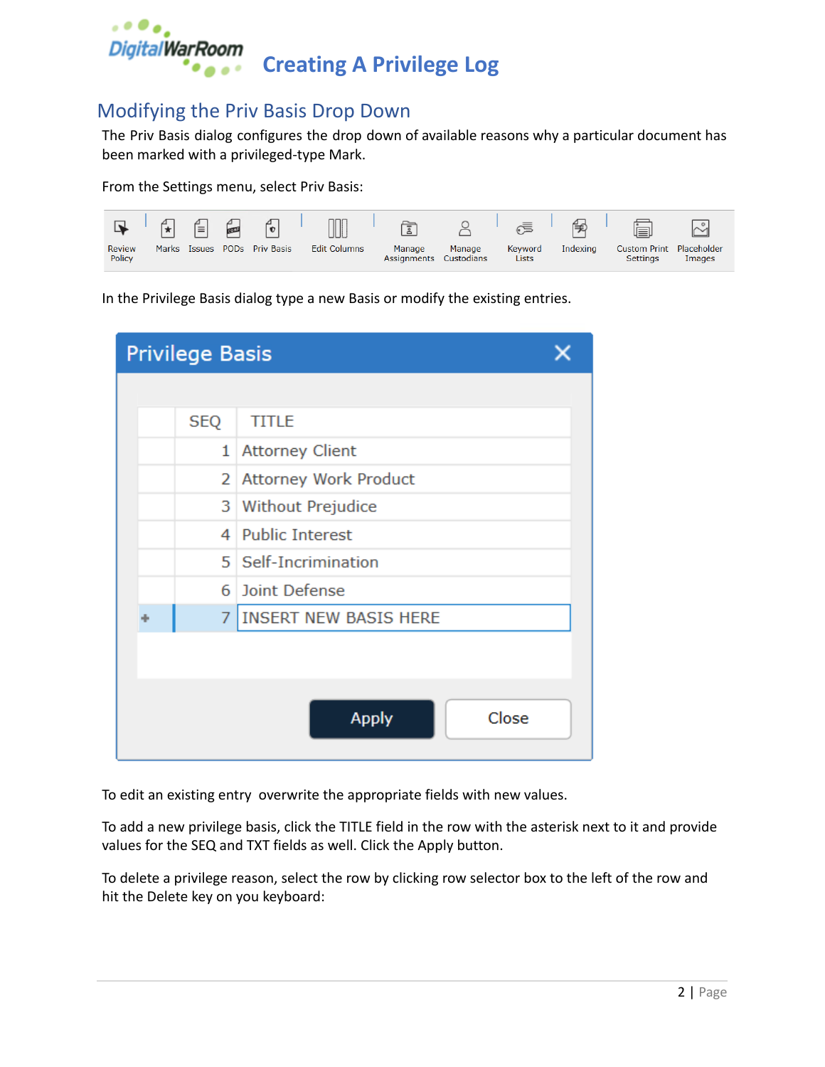

## Modifying the Priv Basis Drop Down

The Priv Basis dialog configures the drop down of available reasons why a particular document has been marked with a privileged-type Mark.

From the Settings menu, select Priv Basis:



In the Privilege Basis dialog type a new Basis or modify the existing entries.

| <b>Privilege Basis</b>            |                               |  |  |  |  |  |
|-----------------------------------|-------------------------------|--|--|--|--|--|
|                                   |                               |  |  |  |  |  |
| <b>SEQ</b>                        | <b>TITLE</b>                  |  |  |  |  |  |
| 1                                 | <b>Attorney Client</b>        |  |  |  |  |  |
| <b>Attorney Work Product</b><br>2 |                               |  |  |  |  |  |
|                                   | <b>Without Prejudice</b><br>3 |  |  |  |  |  |
| 4                                 | <b>Public Interest</b>        |  |  |  |  |  |
|                                   | 5   Self-Incrimination        |  |  |  |  |  |
| 6                                 | Joint Defense                 |  |  |  |  |  |
| $\overline{7}$                    | <b>INSERT NEW BASIS HERE</b>  |  |  |  |  |  |
|                                   |                               |  |  |  |  |  |
|                                   |                               |  |  |  |  |  |
|                                   | Close<br><b>Apply</b>         |  |  |  |  |  |

To edit an existing entry overwrite the appropriate fields with new values.

To add a new privilege basis, click the TITLE field in the row with the asterisk next to it and provide values for the SEQ and TXT fields as well. Click the Apply button.

To delete a privilege reason, select the row by clicking row selector box to the left of the row and hit the Delete key on you keyboard: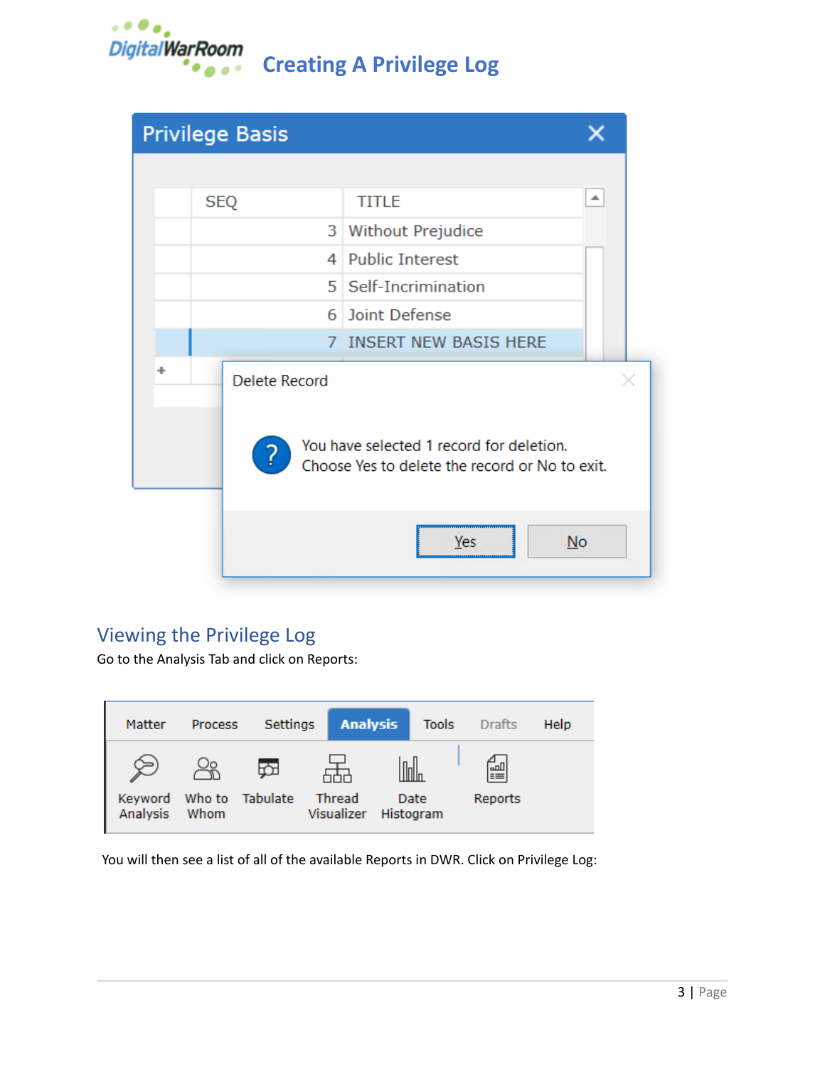

**Creating A Privilege Log**

|   |                                                                                                 | <b>Privilege Basis</b> |  |                         |   |  |
|---|-------------------------------------------------------------------------------------------------|------------------------|--|-------------------------|---|--|
|   |                                                                                                 |                        |  |                         |   |  |
|   |                                                                                                 | <b>SEQ</b>             |  | <b>TITLE</b>            | ᇫ |  |
|   |                                                                                                 |                        |  | 3 Without Prejudice     |   |  |
|   |                                                                                                 |                        |  | 4 Public Interest       |   |  |
|   |                                                                                                 |                        |  | 5   Self-Incrimination  |   |  |
|   |                                                                                                 |                        |  | 6 Joint Defense         |   |  |
|   |                                                                                                 |                        |  | 7 INSERT NEW BASIS HERE |   |  |
| ÷ |                                                                                                 | <b>Delete Record</b>   |  |                         |   |  |
|   | You have selected 1 record for deletion.<br>?<br>Choose Yes to delete the record or No to exit. |                        |  |                         |   |  |
|   |                                                                                                 |                        |  | No<br>Yes               |   |  |

## Viewing the Privilege Log

Go to the Analysis Tab and click on Reports:

| Matter              | <b>Process</b> | Settings        |                      | <b>Analysis</b> | <b>Tools</b>      | <b>Drafts</b> | Help |
|---------------------|----------------|-----------------|----------------------|-----------------|-------------------|---------------|------|
| Keyword<br>Analysis | Οo<br>Whom     | Who to Tabulate | Thread<br>Visualizer |                 | Date<br>Histogram | 闓<br>Reports  |      |

You will then see a list of all of the available Reports in DWR. Click on Privilege Log: